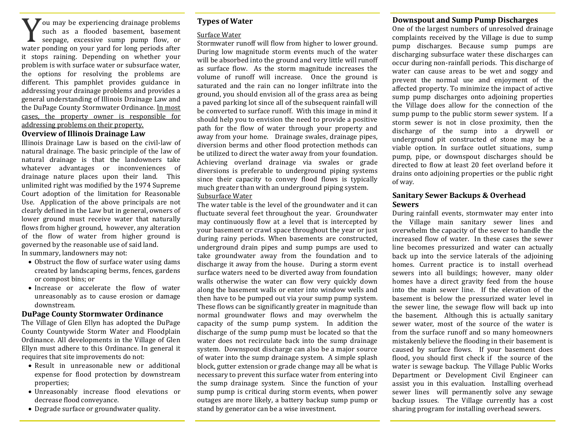#### **Downspout and Sump Pump Discharges**

You may be experiencing drainage problems<br>such as a flooded basement, basement<br>seepage, excessive sump pump flow, or such as a flooded basement, basement seepage, excessive sump pump flow, or water ponding on your yard for long periods after it stops raining. Depending on whether your problem is with surface water or subsurface water, the options for resolving the problems are different. This pamphlet provides guidance in addressing your drainage problems and provides a general understanding of Illinois Drainage Law and the DuPage County Stormwater Ordinance. In most cases, the property owner is responsible for addressing problems on their property.

# **Overview of Illinois Drainage Law**

Illinois Drainage Law is based on the civil-law of natural drainage. The basic principle of the law of natural drainage is that the landowners take whatever advantages or inconveniences of drainage nature places upon their land. This unlimited right was modified by the 1974 Supreme Court adoption of the limitation for Reasonable Use. Application of the above principals are not clearly defined in the Law but in general, owners of lower ground must receive water that naturally flows from higher ground, however, any alteration of the flow of water from higher ground is governed by the reasonable use of said land.

In summary, landowners may not:

- Obstruct the flow of surface water using dams created by landscaping berms, fences, gardens or compost bins; or
- Increase or accelerate the flow of water unreasonably as to cause erosion or damage downstream.

#### **DuPage County Stormwater Ordinance**

The Village of Glen Ellyn has adopted the DuPage County Countywide Storm Water and Floodplain Ordinance. All developments in the Village of Glen Ellyn must adhere to this Ordinance. In general it requires that site improvements do not:

- Result in unreasonable new or additional expense for flood protection by downstream properties;
- Unreasonably increase flood elevations or decrease flood conveyance.
- Degrade surface or groundwater quality.

## **Types of Water**

#### Surface Water

Stormwater runoff will flow from higher to lower ground. During low magnitude storm events much of the water will be absorbed into the ground and very little will runoff as surface flow. As the storm magnitude increases the volume of runoff will increase. Once the ground is saturated and the rain can no longer infiltrate into the ground, you should envision all of the grass area as being a paved parking lot since all of the subsequent rainfall will be converted to surface runoff. With this image in mind it should help you to envision the need to provide a positive path for the flow of water through your property and away from your home. Drainage swales, drainage pipes, diversion berms and other flood protection methods can be utilized to direct the water away from your foundation. Achieving overland drainage via swales or grade diversions is preferable to underground piping systems since their capacity to convey flood flows is typically much greater than with an underground piping system. Subsurface Water

The water table is the level of the groundwater and it can fluctuate several feet throughout the year. Groundwater may continuously flow at a level that is intercepted by your basement or crawl space throughout the year or just during rainy periods. When basements are constructed, underground drain pipes and sump pumps are used to take groundwater away from the foundation and to discharge it away from the house. During a storm event surface waters need to be diverted away from foundation walls otherwise the water can flow very quickly down along the basement walls or enter into window wells and then have to be pumped out via your sump pump system. These flows can be significantly greater in magnitude than normal groundwater flows and may overwhelm the capacity of the sump pump system. In addition the discharge of the sump pump must be located so that the water does not recirculate back into the sump drainage system. Downspout discharge can also be a major source of water into the sump drainage system. A simple splash block, gutter extension or grade change may all be what is necessary to prevent this surface water from entering into the sump drainage system. Since the function of your sump pump is critical during storm events, when power outages are more likely, a battery backup sump pump or stand by generator can be a wise investment.

One of the largest numbers of unresolved drainage complaints received by the Village is due to sump pump discharges. Because sump pumps are discharging subsurface water these discharges can occur during non-rainfall periods. This discharge of water can cause areas to be wet and soggy and prevent the normal use and enjoyment of the affected property. To minimize the impact of active sump pump discharges onto adjoining properties the Village does allow for the connection of the sump pump to the public storm sewer system. If a storm sewer is not in close proximity, then the discharge of the sump into a drywell or underground pit constructed of stone may be a viable option. In surface outlet situations, sump pump, pipe, or downspout discharges should be directed to flow at least 20 feet overland before it drains onto adjoining properties or the public right of way.

# **Sanitary Sewer Backups & Overhead Sewers**

During rainfall events, stormwater may enter into the Village main sanitary sewer lines and overwhelm the capacity of the sewer to handle the increased flow of water. In these cases the sewer line becomes pressurized and water can actually back up into the service laterals of the adjoining homes. Current practice is to install overhead sewers into all buildings; however, many older homes have a direct gravity feed from the house into the main sewer line. If the elevation of the basement is below the pressurized water level in the sewer line, the sewage flow will back up into the basement. Although this is actually sanitary sewer water, most of the source of the water is from the surface runoff and so many homeowners mistakenly believe the flooding in their basement is caused by surface flows. If your basement does flood, you should first check if the source of the water is sewage backup. The Village Public Works Department or Development Civil Engineer can assist you in this evaluation. Installing overhead sewer lines will permanently solve any sewage backup issues. The Village currently has a cost sharing program for installing overhead sewers.